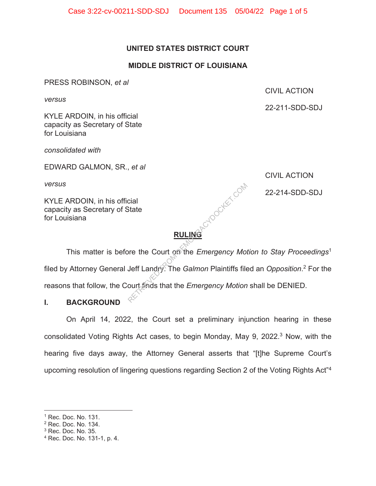## **UNITED STATES DISTRICT COURT**

## **MIDDLE DISTRICT OF LOUISIANA**

PRESS ROBINSON, *et al* 

*versus* 

CIVIL ACTION

22-211-SDD-SDJ

KYLE ARDOIN, in his official capacity as Secretary of State for Louisiana

*consolidated with* 

EDWARD GALMON, SR., *et al* 

*versus* 

KYLE ARDOIN, in his official capacity as Secretary of State for Louisiana

CIVIL ACTION

 $\mathbb{C}^{\mathbb{C}^2}$  and 22-214-SDD-SDJ

# **RULING**

 This matter is before the Court on the *Emergency Motion to Stay Proceedings*<sup>1</sup> filed by Attorney General Jeff Landry. The *Galmon* Plaintiffs filed an *Opposition*. 2 For the reasons that follow, the Court finds that the *Emergency Motion* shall be DENIED. Cial<br>State<br>Deff Landry. The *Galmon Plaintiffs file*<br>Ourt finds that the *Emergency Motion* 

## **I. BACKGROUND**

On April 14, 2022, the Court set a preliminary injunction hearing in these consolidated Voting Rights Act cases, to begin Monday, May 9, 2022.3 Now, with the hearing five days away, the Attorney General asserts that "[t]he Supreme Court's upcoming resolution of lingering questions regarding Section 2 of the Voting Rights Act"4

<sup>1</sup> Rec. Doc. No. 131.

<sup>2</sup> Rec. Doc. No. 134.

 $3$  Rec. Doc. No. 35.

<sup>4</sup> Rec. Doc. No. 131-1, p. 4.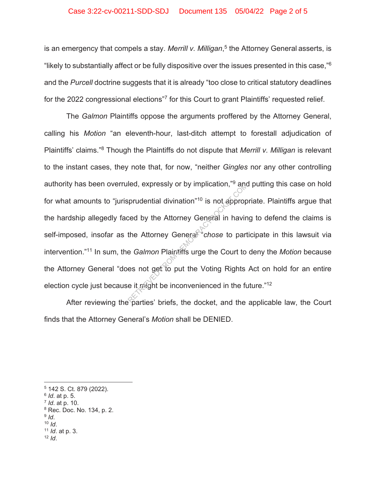#### Case 3:22-cv-00211-SDD-SDJ Document 135 05/04/22 Page 2 of 5

is an emergency that compels a stay. *Merrill v. Milligan*, 5 the Attorney General asserts, is "likely to substantially affect or be fully dispositive over the issues presented in this case,"6 and the *Purcell* doctrine suggests that it is already "too close to critical statutory deadlines for the 2022 congressional elections<sup>"7</sup> for this Court to grant Plaintiffs' requested relief.

The *Galmon* Plaintiffs oppose the arguments proffered by the Attorney General, calling his *Motion* "an eleventh-hour, last-ditch attempt to forestall adjudication of Plaintiffs' claims."8 Though the Plaintiffs do not dispute that *Merrill v. Milligan* is relevant to the instant cases, they note that, for now, "neither *Gingles* nor any other controlling authority has been overruled, expressly or by implication,"9 and putting this case on hold for what amounts to "jurisprudential divination"10 is not appropriate. Plaintiffs argue that the hardship allegedly faced by the Attorney General in having to defend the claims is self-imposed, insofar as the Attorney General<sup>\*\*</sup>*chose* to participate in this lawsuit via intervention."11 In sum, the *Galmon* Plaintiffs urge the Court to deny the *Motion* because the Attorney General "does not get to put the Voting Rights Act on hold for an entire election cycle just because it might be inconvenienced in the future."<sup>12</sup> Reprudential divination"<sup>10</sup> is not approprobed by the Attorney General in having<br>the Attorney General in having<br>the Attorney General "chose to part<br>e Galmon Plaintiffs urge the Court to<br>es not get to put the Voting Rights

After reviewing the parties' briefs, the docket, and the applicable law, the Court finds that the Attorney General's *Motion* shall be DENIED.

 $12$  *Id.* 

<sup>5 142</sup> S. Ct. 879 (2022).

<sup>6</sup> *Id*. at p. 5.

<sup>7</sup> *Id*. at p. 10.

<sup>8</sup> Rec. Doc. No. 134, p. 2.

<sup>9</sup> *Id*. 10 *Id*. 11 *Id*. at p. 3.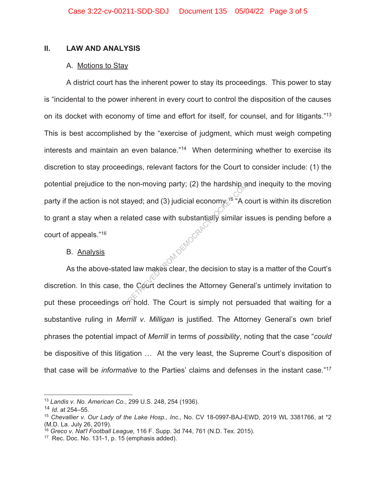#### **II. LAW AND ANALYSIS**

#### A. Motions to Stay

A district court has the inherent power to stay its proceedings. This power to stay is "incidental to the power inherent in every court to control the disposition of the causes on its docket with economy of time and effort for itself, for counsel, and for litigants."13 This is best accomplished by the "exercise of judgment, which must weigh competing interests and maintain an even balance."<sup>14</sup> When determining whether to exercise its discretion to stay proceedings, relevant factors for the Court to consider include: (1) the potential prejudice to the non-moving party; (2) the hardship and inequity to the moving party if the action is not stayed; and (3) judicial economy  $\sqrt{5}$  "A court is within its discretion to grant a stay when a related case with substantially similar issues is pending before a court of appeals."16 COM DEMOCRACY

#### B. Analysis

As the above-stated law makes clear, the decision to stay is a matter of the Court's discretion. In this case, the Court declines the Attorney General's untimely invitation to put these proceedings on hold. The Court is simply not persuaded that waiting for a substantive ruling in *Merrill v. Milligan* is justified. The Attorney General's own brief phrases the potential impact of *Merrill* in terms of *possibility*, noting that the case "*could* be dispositive of this litigation … At the very least, the Supreme Court's disposition of that case will be *informative* to the Parties' claims and defenses in the instant case."17

<sup>13</sup> *Landis v. No. American Co.*, 299 U.S. 248, 254 (1936).

<sup>14</sup> *Id.* at 254–55.

<sup>15</sup> *Chevallier v. Our Lady of the Lake Hosp., Inc.,* No. CV 18-0997-BAJ-EWD, 2019 WL 3381766, at \*2 (M.D. La. July 26, 2019).

<sup>16</sup> *Greco v. Nat'l Football League,* 116 F. Supp. 3d 744, 761 (N.D. Tex. 2015).

 $17$  Rec. Doc. No. 131-1, p. 15 (emphasis added).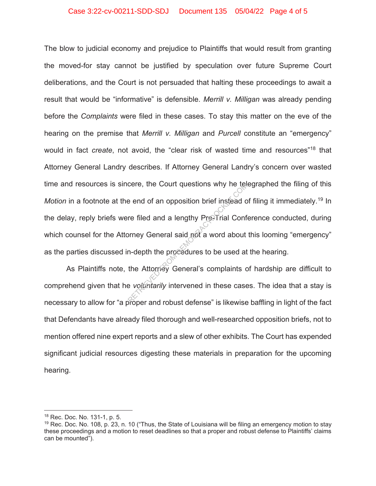#### Case 3:22-cv-00211-SDD-SDJ Document 135 05/04/22 Page 4 of 5

The blow to judicial economy and prejudice to Plaintiffs that would result from granting the moved-for stay cannot be justified by speculation over future Supreme Court deliberations, and the Court is not persuaded that halting these proceedings to await a result that would be "informative" is defensible. *Merrill v. Milligan* was already pending before the *Complaints* were filed in these cases. To stay this matter on the eve of the hearing on the premise that *Merrill v. Milligan* and *Purcell* constitute an "emergency" would in fact *create*, not avoid, the "clear risk of wasted time and resources"18 that Attorney General Landry describes. If Attorney General Landry's concern over wasted time and resources is sincere, the Court questions why he telegraphed the filing of this *Motion* in a footnote at the end of an opposition brief instead of filing it immediately.<sup>19</sup> In the delay, reply briefs were filed and a lengthy Pre-Trial Conference conducted, during which counsel for the Attorney General said not a word about this looming "emergency" as the parties discussed in-depth the procedures to be used at the hearing. Example and of an opposition brief instead of<br>the filed and a lengthy President Conformey General said not a word about<br>m-depth the procedures to be used at<br>the Attorney General's complaints of<br>explorating intervened in th

As Plaintiffs note, the Attorney General's complaints of hardship are difficult to comprehend given that he *voluntarily* intervened in these cases. The idea that a stay is necessary to allow for "a proper and robust defense" is likewise baffling in light of the fact that Defendants have already filed thorough and well-researched opposition briefs, not to mention offered nine expert reports and a slew of other exhibits. The Court has expended significant judicial resources digesting these materials in preparation for the upcoming hearing.

<sup>18</sup> Rec. Doc. No. 131-1, p. 5.

<sup>&</sup>lt;sup>19</sup> Rec. Doc. No. 108, p. 23, n. 10 ("Thus, the State of Louisiana will be filing an emergency motion to stay these proceedings and a motion to reset deadlines so that a proper and robust defense to Plaintiffs' claims can be mounted").